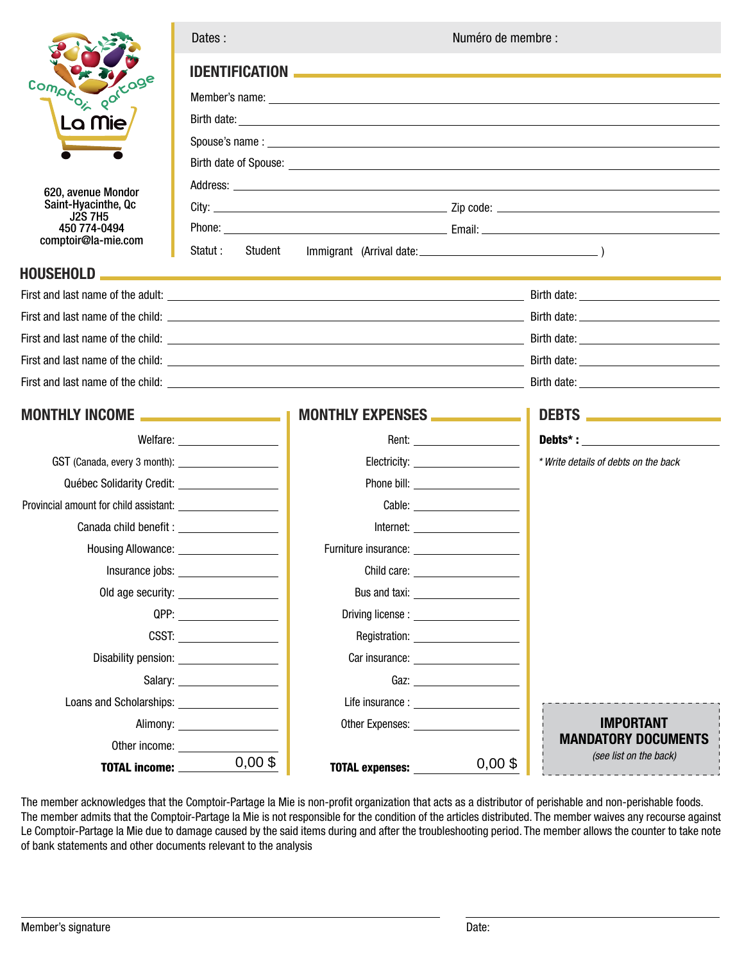

## **HOUSE**

| Dates : |  |
|---------|--|
|         |  |
|         |  |

Numéro de membre :

|                                                 | <b>IDENTIFICATION</b>                                                                                                                                                                                                          |                                                                                                                  |                                                                                                                                                                                                                                                                                                                                                                                                                                                                                                                                                     |                                                                                                                                                                                                                                      |
|-------------------------------------------------|--------------------------------------------------------------------------------------------------------------------------------------------------------------------------------------------------------------------------------|------------------------------------------------------------------------------------------------------------------|-----------------------------------------------------------------------------------------------------------------------------------------------------------------------------------------------------------------------------------------------------------------------------------------------------------------------------------------------------------------------------------------------------------------------------------------------------------------------------------------------------------------------------------------------------|--------------------------------------------------------------------------------------------------------------------------------------------------------------------------------------------------------------------------------------|
| Comptox got coge                                |                                                                                                                                                                                                                                |                                                                                                                  |                                                                                                                                                                                                                                                                                                                                                                                                                                                                                                                                                     | Member's name: <u>entitled and a series of the series of the series of the series of the series of the series of the series of the series of the series of the series of the series of the series of the series of the series of</u> |
| La Mie                                          |                                                                                                                                                                                                                                |                                                                                                                  |                                                                                                                                                                                                                                                                                                                                                                                                                                                                                                                                                     |                                                                                                                                                                                                                                      |
|                                                 |                                                                                                                                                                                                                                |                                                                                                                  |                                                                                                                                                                                                                                                                                                                                                                                                                                                                                                                                                     |                                                                                                                                                                                                                                      |
|                                                 |                                                                                                                                                                                                                                |                                                                                                                  |                                                                                                                                                                                                                                                                                                                                                                                                                                                                                                                                                     | Birth date of Spouse: <u>Production and the set of Spouse and Spouse and Spouse and Spouse and Spouse and Spouse and Spouse and Spouse and Spouse and Spouse and Spouse and Spouse and Spouse and Spouse and Spouse and Spouse a</u> |
| 620, avenue Mondor                              |                                                                                                                                                                                                                                |                                                                                                                  |                                                                                                                                                                                                                                                                                                                                                                                                                                                                                                                                                     |                                                                                                                                                                                                                                      |
| Saint-Hyacinthe, Qc                             |                                                                                                                                                                                                                                |                                                                                                                  |                                                                                                                                                                                                                                                                                                                                                                                                                                                                                                                                                     |                                                                                                                                                                                                                                      |
| <b>J2S 7H5</b><br>450 774-0494                  |                                                                                                                                                                                                                                |                                                                                                                  |                                                                                                                                                                                                                                                                                                                                                                                                                                                                                                                                                     |                                                                                                                                                                                                                                      |
| comptoir@la-mie.com                             | Statut :<br>Student                                                                                                                                                                                                            |                                                                                                                  |                                                                                                                                                                                                                                                                                                                                                                                                                                                                                                                                                     |                                                                                                                                                                                                                                      |
| HOUSEHOLD                                       |                                                                                                                                                                                                                                |                                                                                                                  |                                                                                                                                                                                                                                                                                                                                                                                                                                                                                                                                                     |                                                                                                                                                                                                                                      |
|                                                 |                                                                                                                                                                                                                                |                                                                                                                  |                                                                                                                                                                                                                                                                                                                                                                                                                                                                                                                                                     |                                                                                                                                                                                                                                      |
|                                                 |                                                                                                                                                                                                                                |                                                                                                                  |                                                                                                                                                                                                                                                                                                                                                                                                                                                                                                                                                     |                                                                                                                                                                                                                                      |
|                                                 |                                                                                                                                                                                                                                |                                                                                                                  |                                                                                                                                                                                                                                                                                                                                                                                                                                                                                                                                                     |                                                                                                                                                                                                                                      |
|                                                 |                                                                                                                                                                                                                                |                                                                                                                  |                                                                                                                                                                                                                                                                                                                                                                                                                                                                                                                                                     |                                                                                                                                                                                                                                      |
|                                                 |                                                                                                                                                                                                                                |                                                                                                                  |                                                                                                                                                                                                                                                                                                                                                                                                                                                                                                                                                     |                                                                                                                                                                                                                                      |
|                                                 |                                                                                                                                                                                                                                | MONTHLY EXPENSES _____________                                                                                   |                                                                                                                                                                                                                                                                                                                                                                                                                                                                                                                                                     | DEBTS <b>And Constitution</b>                                                                                                                                                                                                        |
|                                                 | Welfare: _____________________                                                                                                                                                                                                 |                                                                                                                  |                                                                                                                                                                                                                                                                                                                                                                                                                                                                                                                                                     |                                                                                                                                                                                                                                      |
|                                                 |                                                                                                                                                                                                                                |                                                                                                                  | Electricity: ______________________                                                                                                                                                                                                                                                                                                                                                                                                                                                                                                                 | * Write details of debts on the back                                                                                                                                                                                                 |
| Québec Solidarity Credit: ___________________   |                                                                                                                                                                                                                                |                                                                                                                  |                                                                                                                                                                                                                                                                                                                                                                                                                                                                                                                                                     |                                                                                                                                                                                                                                      |
|                                                 |                                                                                                                                                                                                                                |                                                                                                                  |                                                                                                                                                                                                                                                                                                                                                                                                                                                                                                                                                     |                                                                                                                                                                                                                                      |
|                                                 |                                                                                                                                                                                                                                |                                                                                                                  | $\text{Internet:}\underline{\hspace{2.5cm}}\underline{\hspace{2.5cm}}\underline{\hspace{2.5cm}}\underline{\hspace{2.5cm}}\underline{\hspace{2.5cm}}\underline{\hspace{2.5cm}}\underline{\hspace{2.5cm}}\underline{\hspace{2.5cm}}\underline{\hspace{2.5cm}}\underline{\hspace{2.5cm}}\underline{\hspace{2.5cm}}\underline{\hspace{2.5cm}}\underline{\hspace{2.5cm}}\underline{\hspace{2.5cm}}\underline{\hspace{2.5cm}}\underline{\hspace{2.5cm}}\underline{\hspace{2.5cm}}\underline{\hspace{2.5cm}}\underline{\hspace{2.5cm}}\underline{\hspace{$ |                                                                                                                                                                                                                                      |
|                                                 | Housing Allowance: ____________________                                                                                                                                                                                        | Furniture insurance: ________________________                                                                    |                                                                                                                                                                                                                                                                                                                                                                                                                                                                                                                                                     |                                                                                                                                                                                                                                      |
|                                                 | Insurance jobs: ____________________                                                                                                                                                                                           |                                                                                                                  | Child care: _____________________                                                                                                                                                                                                                                                                                                                                                                                                                                                                                                                   |                                                                                                                                                                                                                                      |
|                                                 | Old age security: ____________________                                                                                                                                                                                         |                                                                                                                  | Bus and taxi: _______________________                                                                                                                                                                                                                                                                                                                                                                                                                                                                                                               |                                                                                                                                                                                                                                      |
|                                                 | QPP: the contract of the contract of the contract of the contract of the contract of the contract of the contract of the contract of the contract of the contract of the contract of the contract of the contract of the contr |                                                                                                                  |                                                                                                                                                                                                                                                                                                                                                                                                                                                                                                                                                     |                                                                                                                                                                                                                                      |
|                                                 |                                                                                                                                                                                                                                |                                                                                                                  | Registration: Network and the series of the series of the series of the series of the series of the series of the series of the series of the series of the series of the series of the series of the series of the series of                                                                                                                                                                                                                                                                                                                       |                                                                                                                                                                                                                                      |
|                                                 | Disability pension: _________________________                                                                                                                                                                                  |                                                                                                                  |                                                                                                                                                                                                                                                                                                                                                                                                                                                                                                                                                     |                                                                                                                                                                                                                                      |
|                                                 | Salary: <u>________________________________</u>                                                                                                                                                                                |                                                                                                                  | Gaz: $\qquad \qquad$                                                                                                                                                                                                                                                                                                                                                                                                                                                                                                                                |                                                                                                                                                                                                                                      |
| Loans and Scholarships: Loans and Scholarships: |                                                                                                                                                                                                                                |                                                                                                                  | Life insurance : the contract of the contract of the contract of the contract of the contract of the contract of the contract of the contract of the contract of the contract of the contract of the contract of the contract                                                                                                                                                                                                                                                                                                                       |                                                                                                                                                                                                                                      |
|                                                 | Alimony: Alimony:                                                                                                                                                                                                              | Other Expenses: Wallet the State of the State of the State of the State of the State of the State of the State o |                                                                                                                                                                                                                                                                                                                                                                                                                                                                                                                                                     | <b>IMPORTANT</b>                                                                                                                                                                                                                     |
| Other income:                                   |                                                                                                                                                                                                                                |                                                                                                                  |                                                                                                                                                                                                                                                                                                                                                                                                                                                                                                                                                     | <b>MANDATORY DOCUMENTS</b>                                                                                                                                                                                                           |
| TOTAL income:                                   | $0,00$ \$                                                                                                                                                                                                                      | <b>TOTAL expenses:</b>                                                                                           | $0,00$ \$                                                                                                                                                                                                                                                                                                                                                                                                                                                                                                                                           | (see list on the back)                                                                                                                                                                                                               |

The member acknowledges that the Comptoir-Partage la Mie is non-profit organization that acts as a distributor of perishable and non-perishable foods. The member admits that the Comptoir-Partage la Mie is not responsible for the condition of the articles distributed. The member waives any recourse against Le Comptoir-Partage la Mie due to damage caused by the said items during and after the troubleshooting period. The member allows the counter to take note of bank statements and other documents relevant to the analysis